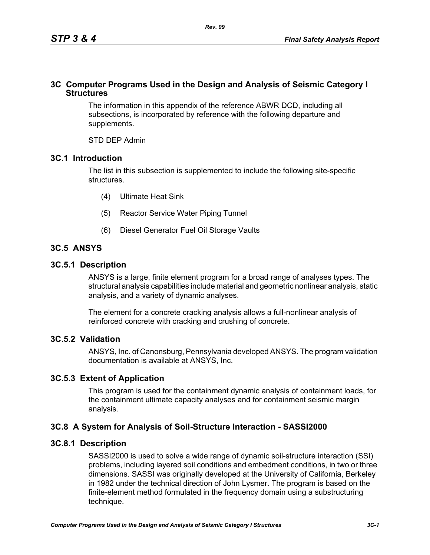### **3C Computer Programs Used in the Design and Analysis of Seismic Category I Structures**

The information in this appendix of the reference ABWR DCD, including all subsections, is incorporated by reference with the following departure and supplements.

STD DEP Admin

## **3C.1 Introduction**

The list in this subsection is supplemented to include the following site-specific structures.

- (4) Ultimate Heat Sink
- (5) Reactor Service Water Piping Tunnel
- (6) Diesel Generator Fuel Oil Storage Vaults

# **3C.5 ANSYS**

### **3C.5.1 Description**

ANSYS is a large, finite element program for a broad range of analyses types. The structural analysis capabilities include material and geometric nonlinear analysis, static analysis, and a variety of dynamic analyses.

The element for a concrete cracking analysis allows a full-nonlinear analysis of reinforced concrete with cracking and crushing of concrete.

## **3C.5.2 Validation**

ANSYS, Inc. of Canonsburg, Pennsylvania developed ANSYS. The program validation documentation is available at ANSYS, Inc.

## **3C.5.3 Extent of Application**

This program is used for the containment dynamic analysis of containment loads, for the containment ultimate capacity analyses and for containment seismic margin analysis.

## **3C.8 A System for Analysis of Soil-Structure Interaction - SASSI2000**

## **3C.8.1 Description**

SASSI2000 is used to solve a wide range of dynamic soil-structure interaction (SSI) problems, including layered soil conditions and embedment conditions, in two or three dimensions. SASSI was originally developed at the University of California, Berkeley in 1982 under the technical direction of John Lysmer. The program is based on the finite-element method formulated in the frequency domain using a substructuring technique.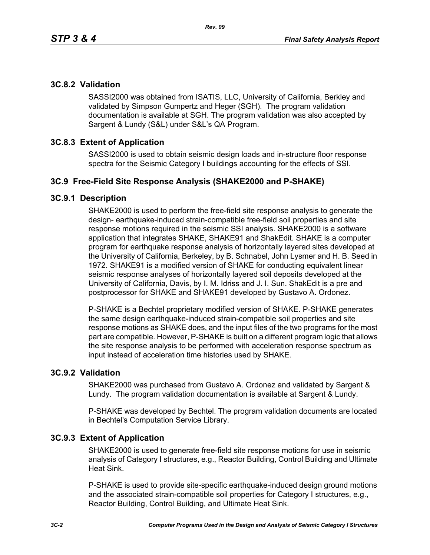# **3C.8.2 Validation**

SASSI2000 was obtained from ISATIS, LLC, University of California, Berkley and validated by Simpson Gumpertz and Heger (SGH). The program validation documentation is available at SGH. The program validation was also accepted by Sargent & Lundy (S&L) under S&L's QA Program.

## **3C.8.3 Extent of Application**

SASSI2000 is used to obtain seismic design loads and in-structure floor response spectra for the Seismic Category I buildings accounting for the effects of SSI.

## **3C.9 Free-Field Site Response Analysis (SHAKE2000 and P-SHAKE)**

#### **3C.9.1 Description**

SHAKE2000 is used to perform the free-field site response analysis to generate the design- earthquake-induced strain-compatible free-field soil properties and site response motions required in the seismic SSI analysis. SHAKE2000 is a software application that integrates SHAKE, SHAKE91 and ShakEdit. SHAKE is a computer program for earthquake response analysis of horizontally layered sites developed at the University of California, Berkeley, by B. Schnabel, John Lysmer and H. B. Seed in 1972. SHAKE91 is a modified version of SHAKE for conducting equivalent linear seismic response analyses of horizontally layered soil deposits developed at the University of California, Davis, by I. M. Idriss and J. I. Sun. ShakEdit is a pre and postprocessor for SHAKE and SHAKE91 developed by Gustavo A. Ordonez.

P-SHAKE is a Bechtel proprietary modified version of SHAKE. P-SHAKE generates the same design earthquake-induced strain-compatible soil properties and site response motions as SHAKE does, and the input files of the two programs for the most part are compatible. However, P-SHAKE is built on a different program logic that allows the site response analysis to be performed with acceleration response spectrum as input instead of acceleration time histories used by SHAKE.

#### **3C.9.2 Validation**

SHAKE2000 was purchased from Gustavo A. Ordonez and validated by Sargent & Lundy. The program validation documentation is available at Sargent & Lundy.

P-SHAKE was developed by Bechtel. The program validation documents are located in Bechtel's Computation Service Library.

#### **3C.9.3 Extent of Application**

SHAKE2000 is used to generate free-field site response motions for use in seismic analysis of Category I structures, e.g., Reactor Building, Control Building and Ultimate Heat Sink.

P-SHAKE is used to provide site-specific earthquake-induced design ground motions and the associated strain-compatible soil properties for Category I structures, e.g., Reactor Building, Control Building, and Ultimate Heat Sink.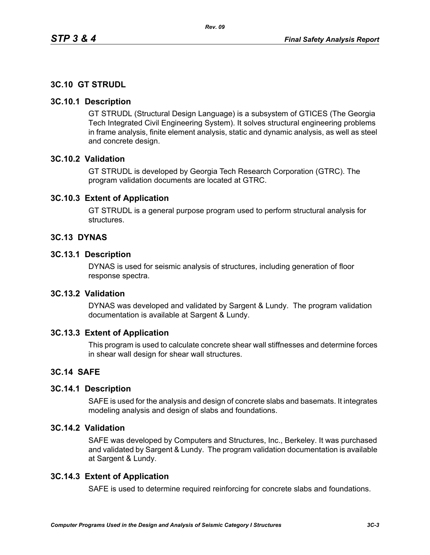# **3C.10 GT STRUDL**

#### **3C.10.1 Description**

GT STRUDL (Structural Design Language) is a subsystem of GTICES (The Georgia Tech Integrated Civil Engineering System). It solves structural engineering problems in frame analysis, finite element analysis, static and dynamic analysis, as well as steel and concrete design.

## **3C.10.2 Validation**

GT STRUDL is developed by Georgia Tech Research Corporation (GTRC). The program validation documents are located at GTRC.

### **3C.10.3 Extent of Application**

GT STRUDL is a general purpose program used to perform structural analysis for structures.

### **3C.13 DYNAS**

#### **3C.13.1 Description**

DYNAS is used for seismic analysis of structures, including generation of floor response spectra.

## **3C.13.2 Validation**

DYNAS was developed and validated by Sargent & Lundy. The program validation documentation is available at Sargent & Lundy.

#### **3C.13.3 Extent of Application**

This program is used to calculate concrete shear wall stiffnesses and determine forces in shear wall design for shear wall structures.

#### **3C.14 SAFE**

#### **3C.14.1 Description**

SAFE is used for the analysis and design of concrete slabs and basemats. It integrates modeling analysis and design of slabs and foundations.

## **3C.14.2 Validation**

SAFE was developed by Computers and Structures, Inc., Berkeley. It was purchased and validated by Sargent & Lundy. The program validation documentation is available at Sargent & Lundy.

#### **3C.14.3 Extent of Application**

SAFE is used to determine required reinforcing for concrete slabs and foundations.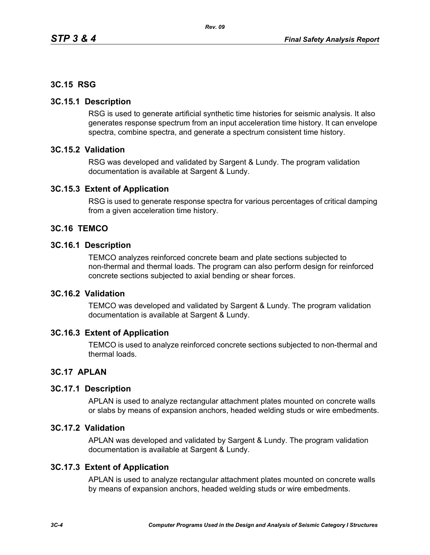## **3C.15 RSG**

#### **3C.15.1 Description**

RSG is used to generate artificial synthetic time histories for seismic analysis. It also generates response spectrum from an input acceleration time history. It can envelope spectra, combine spectra, and generate a spectrum consistent time history.

### **3C.15.2 Validation**

RSG was developed and validated by Sargent & Lundy. The program validation documentation is available at Sargent & Lundy.

### **3C.15.3 Extent of Application**

RSG is used to generate response spectra for various percentages of critical damping from a given acceleration time history.

## **3C.16 TEMCO**

#### **3C.16.1 Description**

TEMCO analyzes reinforced concrete beam and plate sections subjected to non-thermal and thermal loads. The program can also perform design for reinforced concrete sections subjected to axial bending or shear forces.

### **3C.16.2 Validation**

TEMCO was developed and validated by Sargent & Lundy. The program validation documentation is available at Sargent & Lundy.

#### **3C.16.3 Extent of Application**

TEMCO is used to analyze reinforced concrete sections subjected to non-thermal and thermal loads.

#### **3C.17 APLAN**

#### **3C.17.1 Description**

APLAN is used to analyze rectangular attachment plates mounted on concrete walls or slabs by means of expansion anchors, headed welding studs or wire embedments.

#### **3C.17.2 Validation**

APLAN was developed and validated by Sargent & Lundy. The program validation documentation is available at Sargent & Lundy.

#### **3C.17.3 Extent of Application**

APLAN is used to analyze rectangular attachment plates mounted on concrete walls by means of expansion anchors, headed welding studs or wire embedments.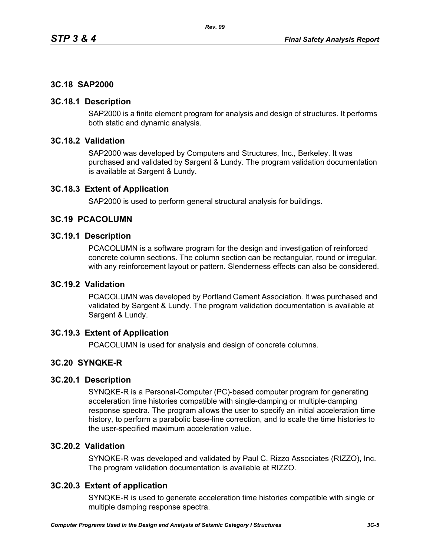# **3C.18 SAP2000**

### **3C.18.1 Description**

SAP2000 is a finite element program for analysis and design of structures. It performs both static and dynamic analysis.

# **3C.18.2 Validation**

SAP2000 was developed by Computers and Structures, Inc., Berkeley. It was purchased and validated by Sargent & Lundy. The program validation documentation is available at Sargent & Lundy.

### **3C.18.3 Extent of Application**

SAP2000 is used to perform general structural analysis for buildings.

### **3C.19 PCACOLUMN**

#### **3C.19.1 Description**

PCACOLUMN is a software program for the design and investigation of reinforced concrete column sections. The column section can be rectangular, round or irregular, with any reinforcement layout or pattern. Slenderness effects can also be considered.

#### **3C.19.2 Validation**

PCACOLUMN was developed by Portland Cement Association. It was purchased and validated by Sargent & Lundy. The program validation documentation is available at Sargent & Lundy.

## **3C.19.3 Extent of Application**

PCACOLUMN is used for analysis and design of concrete columns.

## **3C.20 SYNQKE-R**

## **3C.20.1 Description**

SYNQKE-R is a Personal-Computer (PC)-based computer program for generating acceleration time histories compatible with single-damping or multiple-damping response spectra. The program allows the user to specify an initial acceleration time history, to perform a parabolic base-line correction, and to scale the time histories to the user-specified maximum acceleration value.

## **3C.20.2 Validation**

SYNQKE-R was developed and validated by Paul C. Rizzo Associates (RIZZO), Inc. The program validation documentation is available at RIZZO.

## **3C.20.3 Extent of application**

SYNQKE-R is used to generate acceleration time histories compatible with single or multiple damping response spectra.